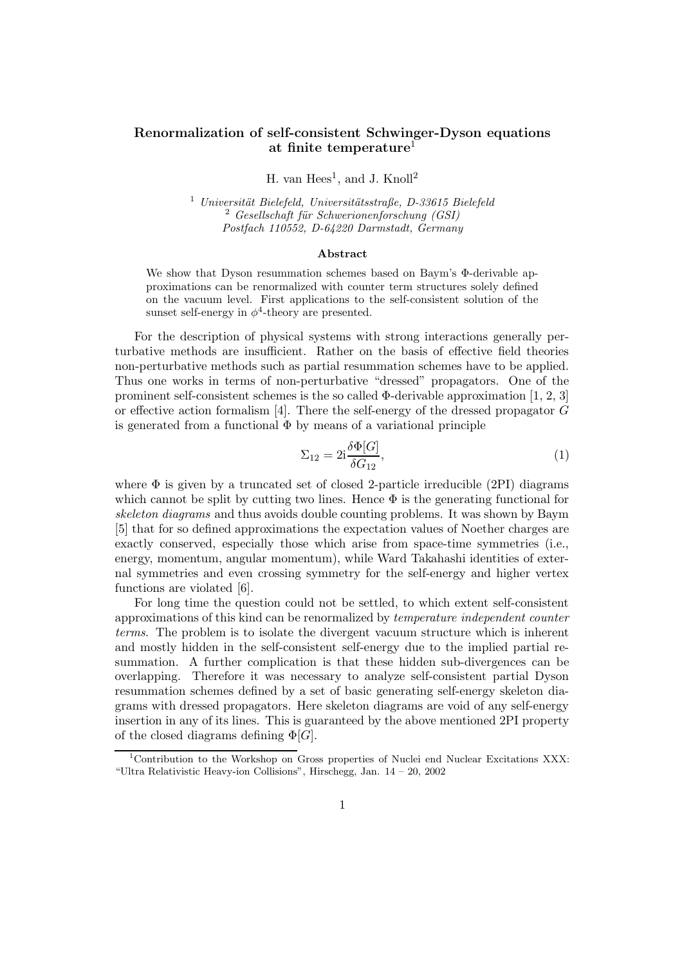## Renormalization of self-consistent Schwinger-Dyson equations at finite temperature<sup>1</sup>

H. van  $Hees<sup>1</sup>$ , and J. Knoll<sup>2</sup>

 $1$  Universität Bielefeld, Universitätsstraße, D-33615 Bielefeld  $2 Geself.$  Gesellschaft für Schwerionenforschung (GSI) Postfach 110552, D-64220 Darmstadt, Germany

## Abstract

We show that Dyson resummation schemes based on Baym's Φ-derivable approximations can be renormalized with counter term structures solely defined on the vacuum level. First applications to the self-consistent solution of the sunset self-energy in  $\phi^4$ -theory are presented.

For the description of physical systems with strong interactions generally perturbative methods are insufficient. Rather on the basis of effective field theories non-perturbative methods such as partial resummation schemes have to be applied. Thus one works in terms of non-perturbative "dressed" propagators. One of the prominent self-consistent schemes is the so called  $\Phi$ -derivable approximation [1, 2, 3] or effective action formalism [4]. There the self-energy of the dressed propagator  $G$ is generated from a functional  $\Phi$  by means of a variational principle

$$
\Sigma_{12} = 2i \frac{\delta \Phi[G]}{\delta G_{12}},\tag{1}
$$

where  $\Phi$  is given by a truncated set of closed 2-particle irreducible (2PI) diagrams which cannot be split by cutting two lines. Hence  $\Phi$  is the generating functional for skeleton diagrams and thus avoids double counting problems. It was shown by Baym [5] that for so defined approximations the expectation values of Noether charges are exactly conserved, especially those which arise from space-time symmetries (i.e., energy, momentum, angular momentum), while Ward Takahashi identities of external symmetries and even crossing symmetry for the self-energy and higher vertex functions are violated [6].

For long time the question could not be settled, to which extent self-consistent approximations of this kind can be renormalized by temperature independent counter terms. The problem is to isolate the divergent vacuum structure which is inherent and mostly hidden in the self-consistent self-energy due to the implied partial resummation. A further complication is that these hidden sub-divergences can be overlapping. Therefore it was necessary to analyze self-consistent partial Dyson resummation schemes defined by a set of basic generating self-energy skeleton diagrams with dressed propagators. Here skeleton diagrams are void of any self-energy insertion in any of its lines. This is guaranteed by the above mentioned 2PI property of the closed diagrams defining  $\Phi[G]$ .

<sup>1</sup>Contribution to the Workshop on Gross properties of Nuclei end Nuclear Excitations XXX: "Ultra Relativistic Heavy-ion Collisions", Hirschegg, Jan. 14 – 20, 2002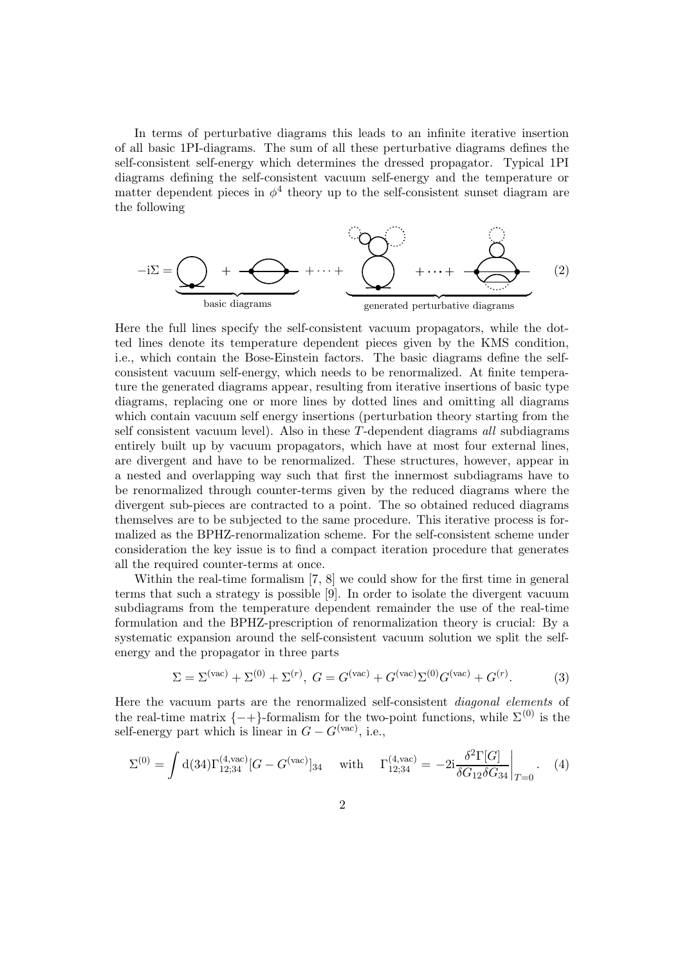In terms of perturbative diagrams this leads to an infinite iterative insertion of all basic 1PI-diagrams. The sum of all these perturbative diagrams defines the self-consistent self-energy which determines the dressed propagator. Typical 1PI diagrams defining the self-consistent vacuum self-energy and the temperature or matter dependent pieces in  $\phi^4$  theory up to the self-consistent sunset diagram are the following

$$
-i\Sigma = \underbrace{\bigodot}_{\text{basic diagrams}} + \underbrace{\bigodot}_{\text{generic diagrams}} + \cdots + \underbrace{\bigodot}_{\text{generated perturbative diagrams}} + \underbrace{\bigodot}_{(2)}
$$
 (2)

Here the full lines specify the self-consistent vacuum propagators, while the dotted lines denote its temperature dependent pieces given by the KMS condition, i.e., which contain the Bose-Einstein factors. The basic diagrams define the selfconsistent vacuum self-energy, which needs to be renormalized. At finite temperature the generated diagrams appear, resulting from iterative insertions of basic type diagrams, replacing one or more lines by dotted lines and omitting all diagrams which contain vacuum self energy insertions (perturbation theory starting from the self consistent vacuum level). Also in these T-dependent diagrams all subdiagrams entirely built up by vacuum propagators, which have at most four external lines, are divergent and have to be renormalized. These structures, however, appear in a nested and overlapping way such that first the innermost subdiagrams have to be renormalized through counter-terms given by the reduced diagrams where the divergent sub-pieces are contracted to a point. The so obtained reduced diagrams themselves are to be subjected to the same procedure. This iterative process is formalized as the BPHZ-renormalization scheme. For the self-consistent scheme under consideration the key issue is to find a compact iteration procedure that generates all the required counter-terms at once.

Within the real-time formalism [7, 8] we could show for the first time in general terms that such a strategy is possible [9]. In order to isolate the divergent vacuum subdiagrams from the temperature dependent remainder the use of the real-time formulation and the BPHZ-prescription of renormalization theory is crucial: By a systematic expansion around the self-consistent vacuum solution we split the selfenergy and the propagator in three parts

$$
\Sigma = \Sigma^{(\text{vac})} + \Sigma^{(0)} + \Sigma^{(r)}, \ G = G^{(\text{vac})} + G^{(\text{vac})} \Sigma^{(0)} G^{(\text{vac})} + G^{(r)}.
$$
 (3)

Here the vacuum parts are the renormalized self-consistent diagonal elements of the real-time matrix  $\{-+\}$ -formalism for the two-point functions, while  $\Sigma^{(0)}$  is the self-energy part which is linear in  $G - G<sup>(vac)</sup>$ , i.e.,

$$
\Sigma^{(0)} = \int d(34) \Gamma_{12;34}^{(4,\text{vac})} [G - G^{(\text{vac})}]_{34} \quad \text{with} \quad \Gamma_{12;34}^{(4,\text{vac})} = -2i \frac{\delta^2 \Gamma[G]}{\delta G_{12} \delta G_{34}} \bigg|_{T=0} . \quad (4)
$$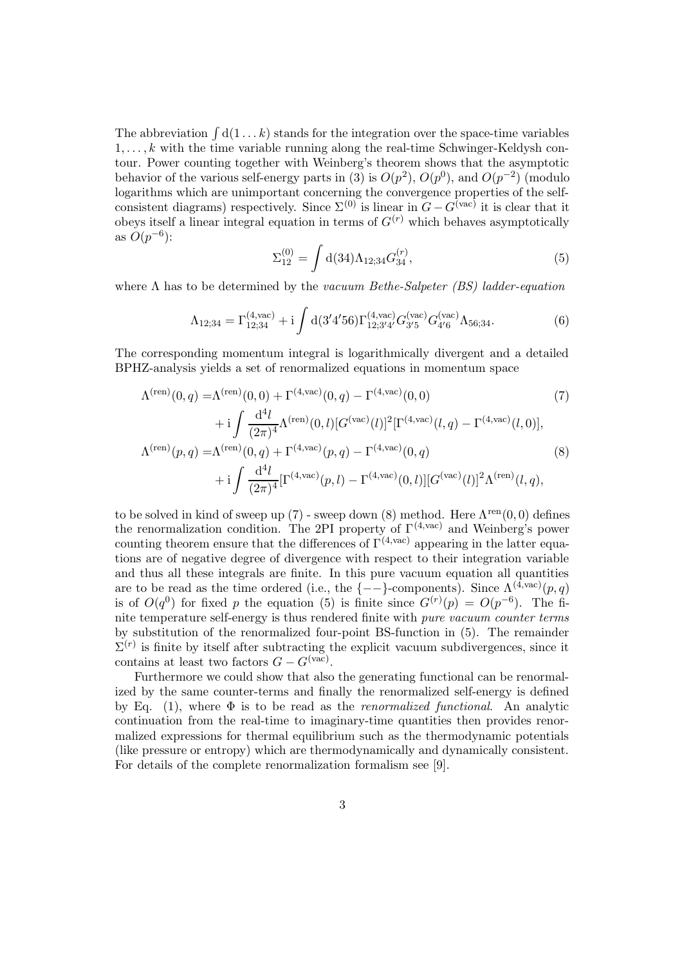The abbreviation  $\int d(1...k)$  stands for the integration over the space-time variables  $1, \ldots, k$  with the time variable running along the real-time Schwinger-Keldysh contour. Power counting together with Weinberg's theorem shows that the asymptotic behavior of the various self-energy parts in (3) is  $O(p^2)$ ,  $O(p^0)$ , and  $O(p^{-2})$  (modulo logarithms which are unimportant concerning the convergence properties of the selfconsistent diagrams) respectively. Since  $\Sigma^{(0)}$  is linear in  $G - G^{(vac)}$  it is clear that it obeys itself a linear integral equation in terms of  $G^{(r)}$  which behaves asymptotically as  $O(p^{-6})$ :

$$
\Sigma_{12}^{(0)} = \int d(34)\Lambda_{12;34} G_{34}^{(r)}, \tag{5}
$$

where  $\Lambda$  has to be determined by the vacuum Bethe-Salpeter (BS) ladder-equation

$$
\Lambda_{12;34} = \Gamma_{12;34}^{(4,\text{vac})} + i \int d(3'4'56) \Gamma_{12;3'4'}^{(4,\text{vac})} G_{3'5}^{(\text{vac})} G_{4'6}^{(\text{vac})} \Lambda_{56;34}.
$$
 (6)

The corresponding momentum integral is logarithmically divergent and a detailed BPHZ-analysis yields a set of renormalized equations in momentum space

$$
\Lambda^{(\text{ren})}(0,q) = \Lambda^{(\text{ren})}(0,0) + \Gamma^{(4,\text{vac})}(0,q) - \Gamma^{(4,\text{vac})}(0,0)
$$
(7)  
+ 
$$
i \int \frac{d^4l}{(2\pi)^4} \Lambda^{(\text{ren})}(0,l) [G^{(\text{vac})}(l)]^2 [\Gamma^{(4,\text{vac})}(l,q) - \Gamma^{(4,\text{vac})}(l,0)],
$$
  

$$
\Lambda^{(\text{ren})}(p,q) = \Lambda^{(\text{ren})}(0,q) + \Gamma^{(4,\text{vac})}(p,q) - \Gamma^{(4,\text{vac})}(0,q)
$$
(8)  
+ 
$$
i \int \frac{d^4l}{(2\pi)^4} [\Gamma^{(4,\text{vac})}(p,l) - \Gamma^{(4,\text{vac})}(0,l)][G^{(\text{vac})}(l)]^2 \Lambda^{(\text{ren})}(l,q),
$$

to be solved in kind of sweep up (7) - sweep down (8) method. Here  $\Lambda^{\text{ren}}(0,0)$  defines the renormalization condition. The 2PI property of  $\Gamma^{(4,\text{vac})}$  and Weinberg's power counting theorem ensure that the differences of  $\Gamma^{(4,\text{vac})}$  appearing in the latter equations are of negative degree of divergence with respect to their integration variable and thus all these integrals are finite. In this pure vacuum equation all quantities are to be read as the time ordered (i.e., the  $\{--\}$ -components). Since  $\Lambda^{(4,\text{vac})}(p,q)$ is of  $O(q^0)$  for fixed p the equation (5) is finite since  $G^{(r)}(p) = O(p^{-6})$ . The finite temperature self-energy is thus rendered finite with pure vacuum counter terms by substitution of the renormalized four-point BS-function in (5). The remainder  $\Sigma^{(r)}$  is finite by itself after subtracting the explicit vacuum subdivergences, since it contains at least two factors  $G - G<sup>(vac)</sup>$ .

Furthermore we could show that also the generating functional can be renormalized by the same counter-terms and finally the renormalized self-energy is defined by Eq. (1), where  $\Phi$  is to be read as the *renormalized functional*. An analytic continuation from the real-time to imaginary-time quantities then provides renormalized expressions for thermal equilibrium such as the thermodynamic potentials (like pressure or entropy) which are thermodynamically and dynamically consistent. For details of the complete renormalization formalism see [9].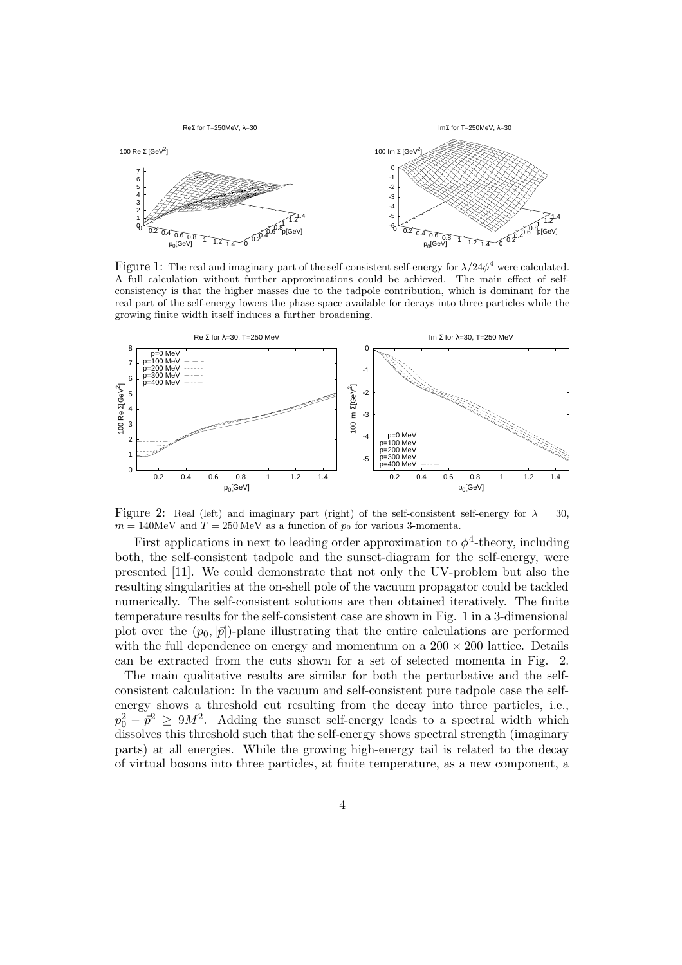

Figure 1: The real and imaginary part of the self-consistent self-energy for  $\lambda/24\phi^4$  were calculated. A full calculation without further approximations could be achieved. The main effect of selfconsistency is that the higher masses due to the tadpole contribution, which is dominant for the real part of the self-energy lowers the phase-space available for decays into three particles while the growing finite width itself induces a further broadening.



Figure 2: Real (left) and imaginary part (right) of the self-consistent self-energy for  $\lambda = 30$ ,  $m = 140$ MeV and  $T = 250$ MeV as a function of  $p_0$  for various 3-momenta.

First applications in next to leading order approximation to  $\phi^4$ -theory, including both, the self-consistent tadpole and the sunset-diagram for the self-energy, were presented [11]. We could demonstrate that not only the UV-problem but also the resulting singularities at the on-shell pole of the vacuum propagator could be tackled numerically. The self-consistent solutions are then obtained iteratively. The finite temperature results for the self-consistent case are shown in Fig. 1 in a 3-dimensional plot over the  $(p_0, |\vec{p}|)$ -plane illustrating that the entire calculations are performed with the full dependence on energy and momentum on a  $200 \times 200$  lattice. Details can be extracted from the cuts shown for a set of selected momenta in Fig. 2.

The main qualitative results are similar for both the perturbative and the selfconsistent calculation: In the vacuum and self-consistent pure tadpole case the selfenergy shows a threshold cut resulting from the decay into three particles, i.e.,  $p_0^2 - \bar{p}^2 \ge 9M^2$ . Adding the sunset self-energy leads to a spectral width which dissolves this threshold such that the self-energy shows spectral strength (imaginary parts) at all energies. While the growing high-energy tail is related to the decay of virtual bosons into three particles, at finite temperature, as a new component, a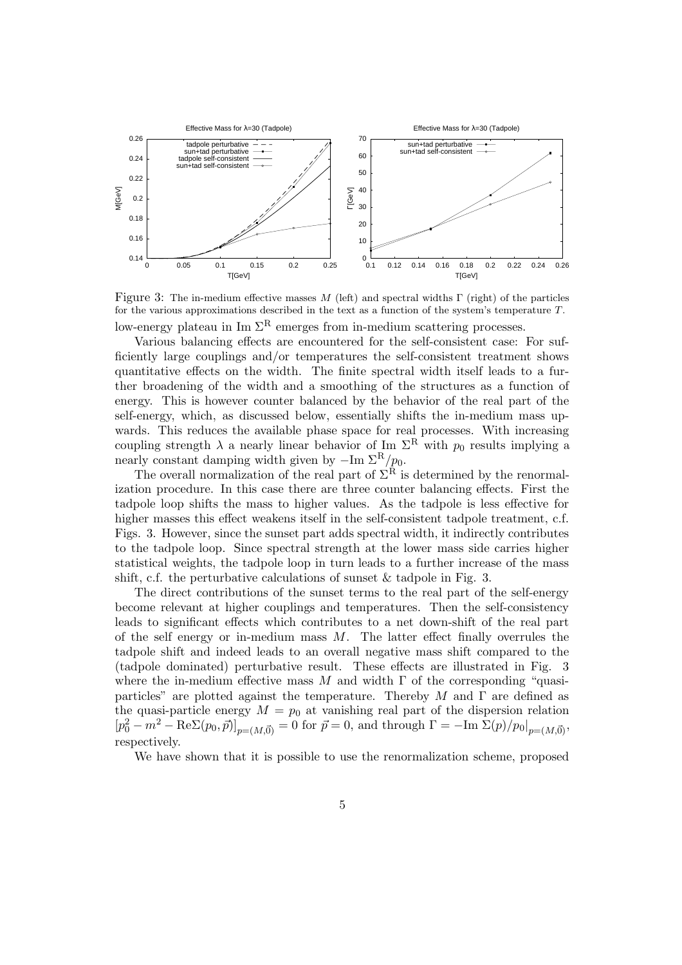

Figure 3: The in-medium effective masses M (left) and spectral widths  $\Gamma$  (right) of the particles for the various approximations described in the text as a function of the system's temperature T. low-energy plateau in Im  $\Sigma^R$  emerges from in-medium scattering processes.

Various balancing effects are encountered for the self-consistent case: For sufficiently large couplings and/or temperatures the self-consistent treatment shows quantitative effects on the width. The finite spectral width itself leads to a further broadening of the width and a smoothing of the structures as a function of energy. This is however counter balanced by the behavior of the real part of the self-energy, which, as discussed below, essentially shifts the in-medium mass upwards. This reduces the available phase space for real processes. With increasing coupling strength  $\lambda$  a nearly linear behavior of Im  $\Sigma^R$  with  $p_0$  results implying a nearly constant damping width given by  $-\text{Im }\Sigma^R/p_0$ .

The overall normalization of the real part of  $\Sigma^{\mathcal{R}}$  is determined by the renormalization procedure. In this case there are three counter balancing effects. First the tadpole loop shifts the mass to higher values. As the tadpole is less effective for higher masses this effect weakens itself in the self-consistent tadpole treatment, c.f. Figs. 3. However, since the sunset part adds spectral width, it indirectly contributes to the tadpole loop. Since spectral strength at the lower mass side carries higher statistical weights, the tadpole loop in turn leads to a further increase of the mass shift, c.f. the perturbative calculations of sunset & tadpole in Fig. 3.

The direct contributions of the sunset terms to the real part of the self-energy become relevant at higher couplings and temperatures. Then the self-consistency leads to significant effects which contributes to a net down-shift of the real part of the self energy or in-medium mass  $M$ . The latter effect finally overrules the tadpole shift and indeed leads to an overall negative mass shift compared to the (tadpole dominated) perturbative result. These effects are illustrated in Fig. 3 where the in-medium effective mass M and width  $\Gamma$  of the corresponding "quasiparticles" are plotted against the temperature. Thereby M and  $\Gamma$  are defined as the quasi-particle energy  $M = p_0$  at vanishing real part of the dispersion relation  $[p_0^2 - m^2 - \text{Re}\Sigma(p_0, \vec{p})]_{p=(M,\vec{0})} = 0$  for  $\vec{p} = 0$ , and through  $\Gamma = -\text{Im }\Sigma(p)/p_0|_{p=(M,\vec{0})}$ , respectively.

We have shown that it is possible to use the renormalization scheme, proposed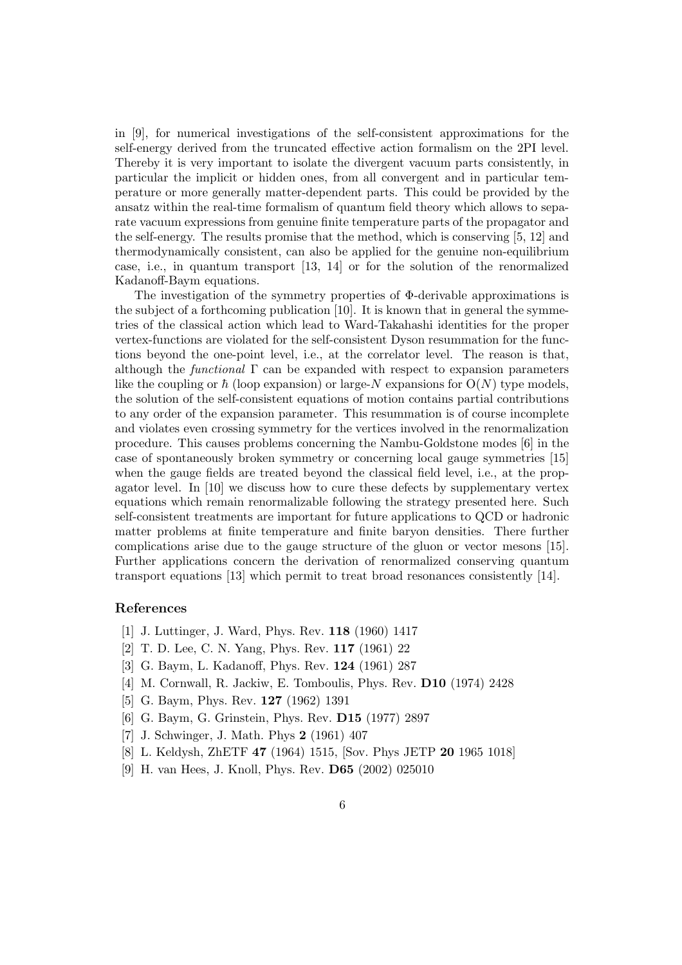in [9], for numerical investigations of the self-consistent approximations for the self-energy derived from the truncated effective action formalism on the 2PI level. Thereby it is very important to isolate the divergent vacuum parts consistently, in particular the implicit or hidden ones, from all convergent and in particular temperature or more generally matter-dependent parts. This could be provided by the ansatz within the real-time formalism of quantum field theory which allows to separate vacuum expressions from genuine finite temperature parts of the propagator and the self-energy. The results promise that the method, which is conserving [5, 12] and thermodynamically consistent, can also be applied for the genuine non-equilibrium case, i.e., in quantum transport [13, 14] or for the solution of the renormalized Kadanoff-Baym equations.

The investigation of the symmetry properties of  $\Phi$ -derivable approximations is the subject of a forthcoming publication [10]. It is known that in general the symmetries of the classical action which lead to Ward-Takahashi identities for the proper vertex-functions are violated for the self-consistent Dyson resummation for the functions beyond the one-point level, i.e., at the correlator level. The reason is that, although the *functional*  $\Gamma$  can be expanded with respect to expansion parameters like the coupling or  $\hbar$  (loop expansion) or large-N expansions for  $O(N)$  type models, the solution of the self-consistent equations of motion contains partial contributions to any order of the expansion parameter. This resummation is of course incomplete and violates even crossing symmetry for the vertices involved in the renormalization procedure. This causes problems concerning the Nambu-Goldstone modes [6] in the case of spontaneously broken symmetry or concerning local gauge symmetries [15] when the gauge fields are treated beyond the classical field level, i.e., at the propagator level. In [10] we discuss how to cure these defects by supplementary vertex equations which remain renormalizable following the strategy presented here. Such self-consistent treatments are important for future applications to QCD or hadronic matter problems at finite temperature and finite baryon densities. There further complications arise due to the gauge structure of the gluon or vector mesons [15]. Further applications concern the derivation of renormalized conserving quantum transport equations [13] which permit to treat broad resonances consistently [14].

## References

- [1] J. Luttinger, J. Ward, Phys. Rev. 118 (1960) 1417
- [2] T. D. Lee, C. N. Yang, Phys. Rev. 117 (1961) 22
- [3] G. Baym, L. Kadanoff, Phys. Rev. 124 (1961) 287
- [4] M. Cornwall, R. Jackiw, E. Tomboulis, Phys. Rev. D10 (1974) 2428
- [5] G. Baym, Phys. Rev. 127 (1962) 1391
- [6] G. Baym, G. Grinstein, Phys. Rev. D15 (1977) 2897
- [7] J. Schwinger, J. Math. Phys 2 (1961) 407
- [8] L. Keldysh, ZhETF 47 (1964) 1515, [Sov. Phys JETP 20 1965 1018]
- [9] H. van Hees, J. Knoll, Phys. Rev. D65 (2002) 025010